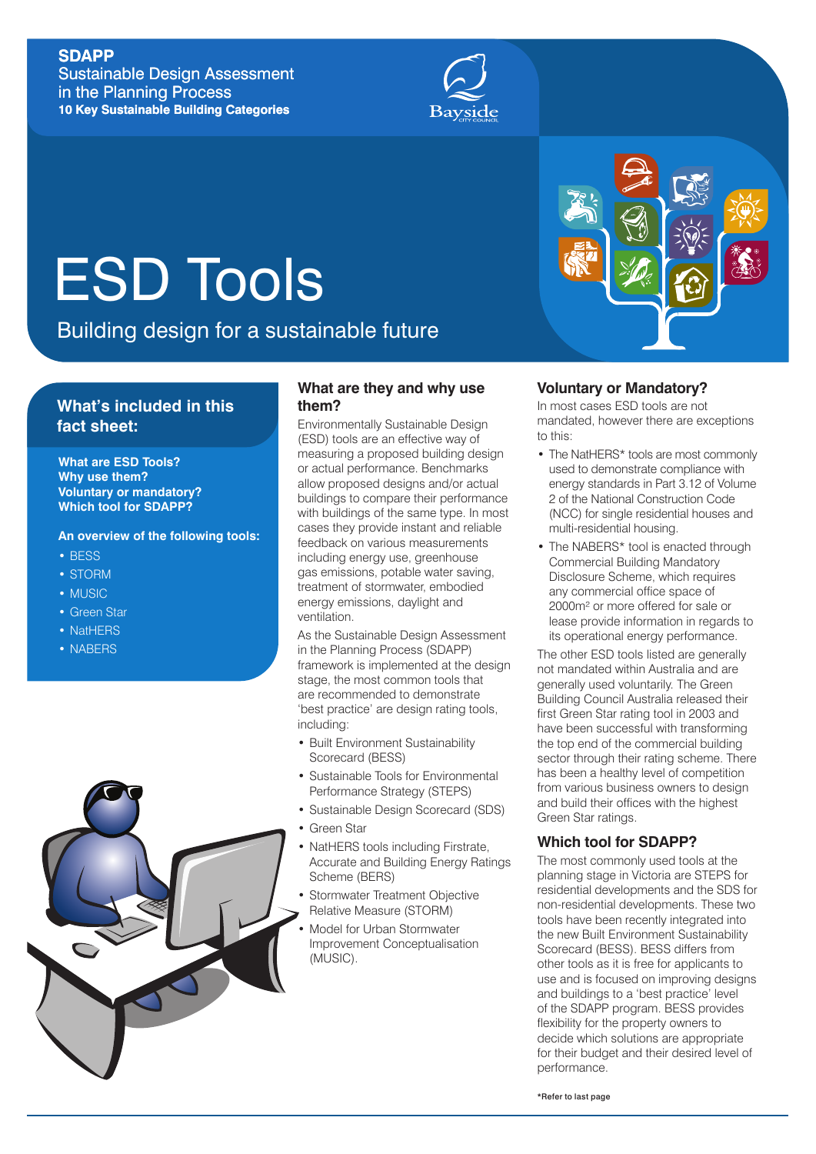## **SDAPP**

Sustainable Design Assessment in the Planning Process **10 Key Sustainable Building Categories**



# ESD Tools

Building design for a sustainable future

## **What's included in this fact sheet:**

**What are ESD Tools? Why use them? Voluntary or mandatory? Which tool for SDAPP?**

**An overview of the following tools:**

- BESS
- STORM
- MUSIC
- Green Star
- NatHERS
- NABERS



### **What are they and why use them?**

Environmentally Sustainable Design (ESD) tools are an effective way of measuring a proposed building design or actual performance. Benchmarks allow proposed designs and/or actual buildings to compare their performance with buildings of the same type. In most cases they provide instant and reliable feedback on various measurements including energy use, greenhouse gas emissions, potable water saving, treatment of stormwater, embodied energy emissions, daylight and ventilation.

As the Sustainable Design Assessment in the Planning Process (SDAPP) framework is implemented at the design stage, the most common tools that are recommended to demonstrate 'best practice' are design rating tools, including:

- Built Environment Sustainability Scorecard (BESS)
- Sustainable Tools for Environmental Performance Strategy (STEPS)
- Sustainable Design Scorecard (SDS)
- Green Star
- NatHERS tools including Firstrate, Accurate and Building Energy Ratings Scheme (BERS)
- Stormwater Treatment Objective Relative Measure (STORM)
- Model for Urban Stormwater Improvement Conceptualisation (MUSIC).

## **Voluntary or Mandatory?**

In most cases ESD tools are not mandated, however there are exceptions to this:

- The NatHERS\* tools are most commonly used to demonstrate compliance with energy standards in Part 3.12 of Volume 2 of the National Construction Code (NCC) for single residential houses and multi-residential housing.
- The NABERS\* tool is enacted through Commercial Building Mandatory Disclosure Scheme, which requires any commercial office space of 2000m² or more offered for sale or lease provide information in regards to its operational energy performance.

The other FSD tools listed are generally not mandated within Australia and are generally used voluntarily. The Green Building Council Australia released their first Green Star rating tool in 2003 and have been successful with transforming the top end of the commercial building sector through their rating scheme. There has been a healthy level of competition from various business owners to design and build their offices with the highest Green Star ratings.

#### **Which tool for SDAPP?**

The most commonly used tools at the planning stage in Victoria are STEPS for residential developments and the SDS for non-residential developments. These two tools have been recently integrated into the new Built Environment Sustainability Scorecard (BESS). BESS differs from other tools as it is free for applicants to use and is focused on improving designs and buildings to a 'best practice' level of the SDAPP program. BESS provides flexibility for the property owners to decide which solutions are appropriate for their budget and their desired level of performance.

\*Refer to last page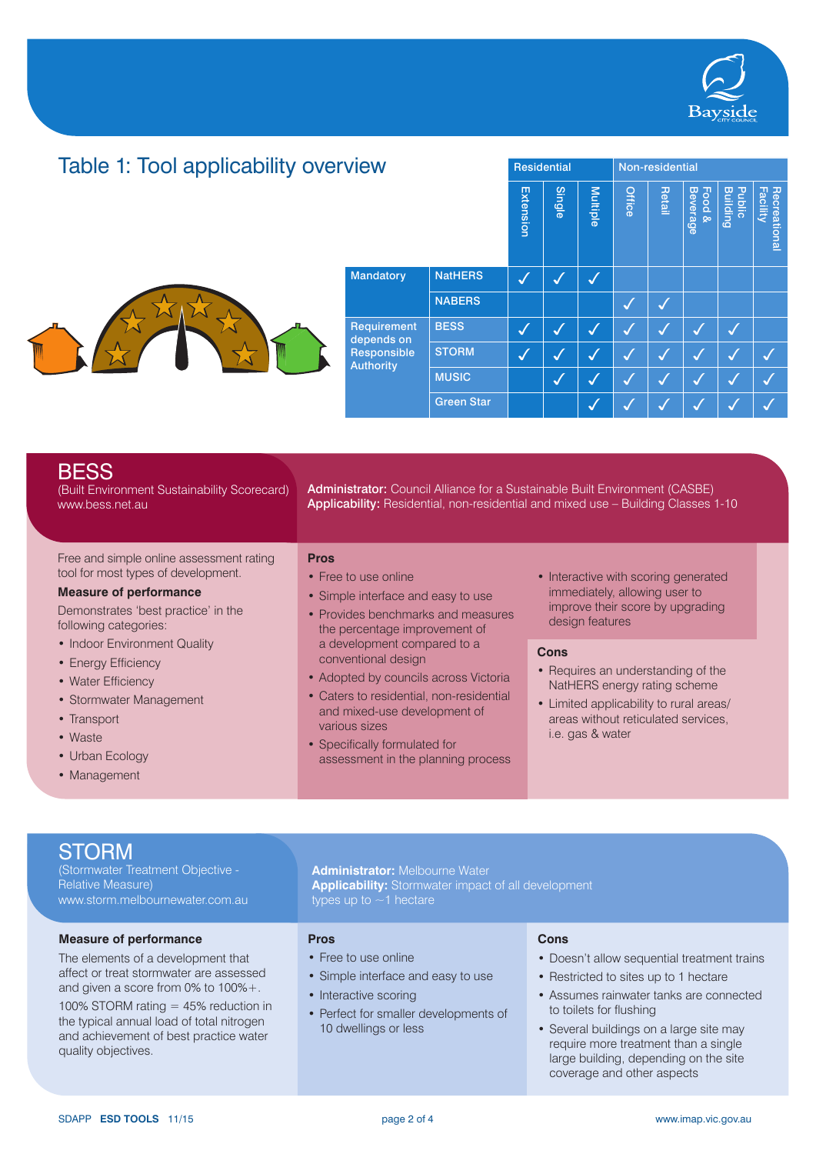

#### Table 1: Tool applicability overviewResidential Non-residential Beverage<br>Retail Multiple<br>Single<br>Extension Building **Facility Hecrea** Recreational Public Food & Mandatory | NatHERS  $\big| \bigvee \big| \bigvee \big|$ NABERS  $\|\cdot\|$   $\|\cdot\|$ Requirement BESS  $\big|\bigvee\big|\bigvee\big|\bigvee\big|\bigvee\big|\bigvee\big|\bigvee\big|\bigvee\big|\bigvee\big|\bigvee$ depends on Responsible STORM  $\big|\bigvee\big|\bigvee\big|\bigvee\big|\bigvee\big|\bigvee\big|\bigvee\big|\bigvee\big|\bigvee\big|\bigvee\big|\bigvee$ **Authority** MUSIC  $\|\hspace{0.1cm} \|\hspace{0.1cm} \hspace{0.1cm} \big\| \hspace{0.1cm} \big\| \hspace{0.1cm} \big\| \hspace{0.1cm} \big\| \hspace{0.1cm} \big\| \hspace{0.1cm} \big\| \hspace{0.1cm} \big\| \hspace{0.1cm} \big\| \hspace{0.1cm} \big\| \hspace{0.1cm} \big\| \hspace{0.1cm} \big\| \hspace{0.1cm} \big\| \hspace{0.1cm} \big\| \hspace{0.1cm} \big\| \hspace{0.1cm} \big\$ Green Star

| <b>BESS</b><br>(Built Environment Sustainability Scorecard)<br>www.bess.net.au                                                                                                   | Administrator: Council Alliance for a Sustainable Built Environment (CASBE)<br>Applicability: Residential, non-residential and mixed use - Building Classes 1-10                                                                                                |                                                                                                                                                                                  |  |  |  |  |
|----------------------------------------------------------------------------------------------------------------------------------------------------------------------------------|-----------------------------------------------------------------------------------------------------------------------------------------------------------------------------------------------------------------------------------------------------------------|----------------------------------------------------------------------------------------------------------------------------------------------------------------------------------|--|--|--|--|
| Free and simple online assessment rating<br>tool for most types of development.<br><b>Measure of performance</b><br>Demonstrates 'best practice' in the<br>following categories: | <b>Pros</b><br>• Free to use online<br>• Simple interface and easy to use<br>• Provides benchmarks and measures<br>the percentage improvement of                                                                                                                | • Interactive with scoring generated<br>immediately, allowing user to<br>improve their score by upgrading<br>design features                                                     |  |  |  |  |
| • Indoor Environment Quality<br>• Energy Efficiency<br>• Water Efficiency<br>• Stormwater Management<br>• Transport<br>• Waste<br>• Urban Ecology                                | a development compared to a<br>conventional design<br>• Adopted by councils across Victoria<br>• Caters to residential, non-residential<br>and mixed-use development of<br>various sizes<br>• Specifically formulated for<br>assessment in the planning process | Cons<br>• Requires an understanding of the<br>NatHERS energy rating scheme<br>• Limited applicability to rural areas/<br>areas without reticulated services.<br>i.e. gas & water |  |  |  |  |

• Management

v

# **STORM**

(Stormwater Treatment Objective - Relative Measure) www.storm.melbournewater.com.au

#### **Measure of performance**

The elements of a development that affect or treat stormwater are assessed and given a score from 0% to 100%+.

100% STORM rating = 45% reduction in the typical annual load of total nitrogen and achievement of best practice water quality objectives.

# **Pros**

- Free to use online
- Simple interface and easy to use

**Administrator:** Melbourne Water

**Applicability:** Stormwater impact of all development

- Interactive scoring
- Perfect for smaller developments of 10 dwellings or less

#### **Cons**

- Doesn't allow sequential treatment trains
- Restricted to sites up to 1 hectare
- Assumes rainwater tanks are connected to toilets for flushing
- Several buildings on a large site may require more treatment than a single large building, depending on the site coverage and other aspects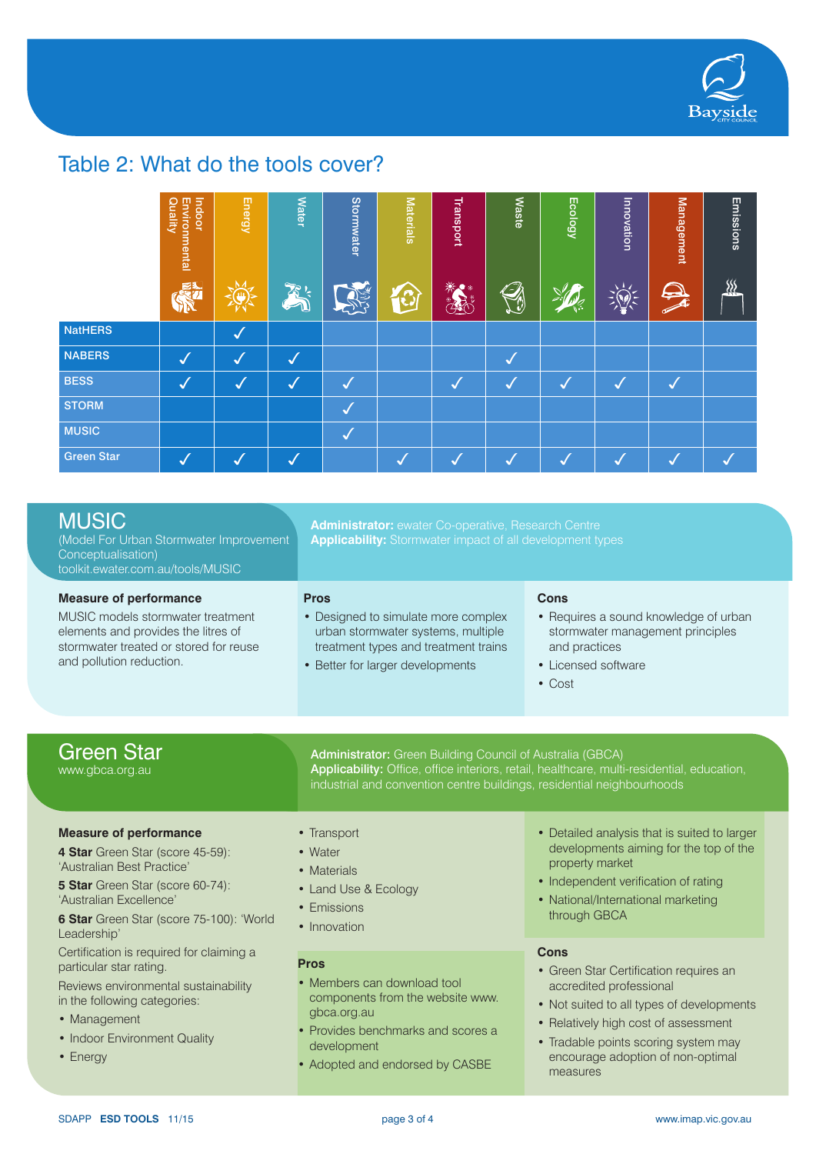

# Table 2: What do the tools cover?

|                   | Indoor<br>Environmental<br>Quality | <b>Energy</b> | <b>Water</b>            | Stormwater     | <b>Materials</b> | Transport | <b>Waste</b> | <b>Ecology</b> | Innovation           | <b>Management</b>       | Emissions     |
|-------------------|------------------------------------|---------------|-------------------------|----------------|------------------|-----------|--------------|----------------|----------------------|-------------------------|---------------|
|                   | ≊₹                                 | ш             | でし                      |                |                  | 楽<br>43.  | Q            |                |                      | $\mathbf{\mathfrak{Q}}$ | $\frac{1}{2}$ |
| <b>NatHERS</b>    |                                    | $\sim$        |                         |                |                  |           |              |                |                      |                         |               |
| <b>NABERS</b>     |                                    |               | $\overline{\mathbf{v}}$ |                |                  |           | $\sim$       |                |                      |                         |               |
| <b>BESS</b>       | ✓                                  | √             | $\boldsymbol{J}$        | √              |                  | IJ        | IJ           | J              | $\sqrt{\frac{1}{2}}$ | $\sqrt{}$               |               |
| <b>STORM</b>      |                                    |               |                         | $\overline{J}$ |                  |           |              |                |                      |                         |               |
| <b>MUSIC</b>      |                                    |               |                         | √              |                  |           |              |                |                      |                         |               |
| <b>Green Star</b> |                                    |               |                         |                |                  |           |              |                |                      |                         |               |

# MUSIC

(Model For Urban Stormwater Improvement Conceptualisation) toolkit.ewater.com.au/tools/MUSIC

#### **Measure of performance**

MUSIC models stormwater treatment elements and provides the litres of stormwater treated or stored for reuse and pollution reduction.

#### **Administrator:** ewater Co-operative, Research Centre **Applicability:** Stormwater impact of all development types

Administrator: Green Building Council of Australia (GBCA)

industrial and convention centre buildings, residential neighbourhoods

**Pros**

- Designed to simulate more complex urban stormwater systems, multiple treatment types and treatment trains
- Better for larger developments

#### **Cons**

- Requires a sound knowledge of urban stormwater management principles and practices
- Licensed software
- Cost

Applicability: Office, office interiors, retail, healthcare, multi-residential, education,

# Green Star

www.gbca.org.au

#### **Measure of performance**

**4 Star** Green Star (score 45-59): 'Australian Best Practice'

**5 Star** Green Star (score 60-74): 'Australian Excellence'

**6 Star** Green Star (score 75-100): 'World Leadership'

Certification is required for claiming a particular star rating.

Reviews environmental sustainability in the following categories:

- Management
- Indoor Environment Quality
- Energy
- Transport
- Water
- Materials
- Land Use & Ecology
- Emissions
- Innovation

#### **Pros**

- Members can download tool components from the website www. gbca.org.au
- Provides benchmarks and scores a development
- Adopted and endorsed by CASBE
- Detailed analysis that is suited to larger developments aiming for the top of the property market
- Independent verification of rating
- National/International marketing through GBCA

#### **Cons**

- Green Star Certification requires an accredited professional
- Not suited to all types of developments
- Relatively high cost of assessment
- Tradable points scoring system may encourage adoption of non-optimal measures